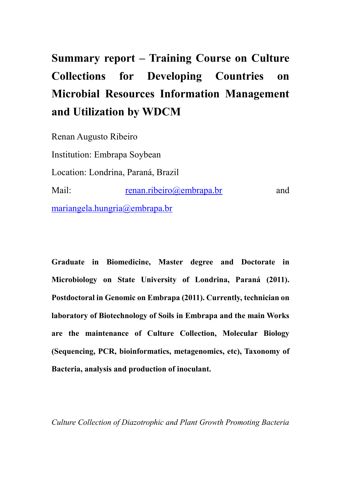# **Summary report – Training Course on Culture Collections for Developing Countries on Microbial Resources Information Management and Utilization by WDCM**

Renan Augusto Ribeiro Institution: Embrapa Soybean Location: Londrina, Paraná, Brazil Mail: [renan.ribeiro@embrapa.br](mailto:renan.ribeiro@embrapa.br) and [mariangela.hungria@embrapa.br](mailto:mariangela.hungria@embrapa.br)

**Graduate in Biomedicine, Master degree and Doctorate in Microbiology on State University of Londrina, Paraná (2011). Postdoctoral in Genomic on Embrapa (2011). Currently, technician on laboratory of Biotechnology of Soils in Embrapa and the main Works are the maintenance of Culture Collection, Molecular Biology (Sequencing, PCR, bioinformatics, metagenomics, etc), Taxonomy of Bacteria, analysis and production of inoculant.**

*Culture Collection of Diazotrophic and Plant Growth Promoting Bacteria*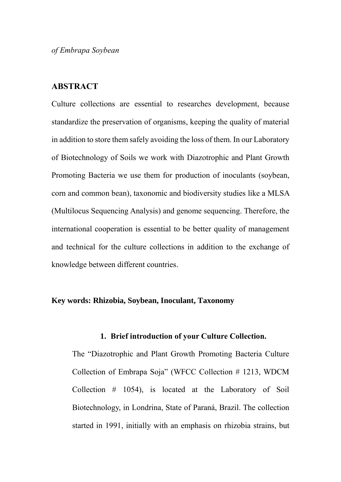*of Embrapa Soybean*

## **ABSTRACT**

Culture collections are essential to researches development, because standardize the preservation of organisms, keeping the quality of material in addition to store them safely avoiding the loss of them. In our Laboratory of Biotechnology of Soils we work with Diazotrophic and Plant Growth Promoting Bacteria we use them for production of inoculants (soybean, corn and common bean), taxonomic and biodiversity studies like a MLSA (Multilocus Sequencing Analysis) and genome sequencing. Therefore, the international cooperation is essential to be better quality of management and technical for the culture collections in addition to the exchange of knowledge between different countries.

#### **Key words: Rhizobia, Soybean, Inoculant, Taxonomy**

#### **1. Brief introduction of your Culture Collection.**

The "Diazotrophic and Plant Growth Promoting Bacteria Culture Collection of Embrapa Soja" (WFCC Collection # 1213, WDCM Collection # 1054), is located at the Laboratory of Soil Biotechnology, in Londrina, State of Paraná, Brazil. The collection started in 1991, initially with an emphasis on rhizobia strains, but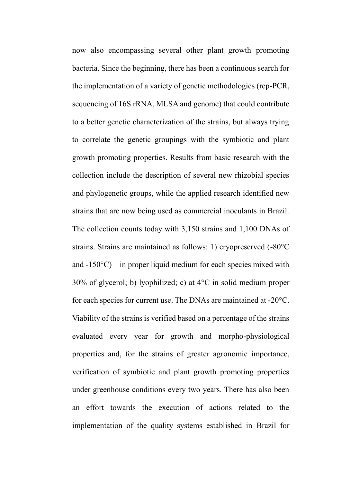now also encompassing several other plant growth promoting bacteria. Since the beginning, there has been a continuous search for the implementation of a variety of genetic methodologies (rep-PCR, sequencing of 16S rRNA, MLSA and genome) that could contribute to a better genetic characterization of the strains, but always trying to correlate the genetic groupings with the symbiotic and plant growth promoting properties. Results from basic research with the collection include the description of several new rhizobial species and phylogenetic groups, while the applied research identified new strains that are now being used as commercial inoculants in Brazil. The collection counts today with 3,150 strains and 1,100 DNAs of strains. Strains are maintained as follows: 1) cryopreserved (-80°C and -150°C) in proper liquid medium for each species mixed with 30% of glycerol; b) lyophilized; c) at 4°C in solid medium proper for each species for current use. The DNAs are maintained at -20°C. Viability of the strains is verified based on a percentage of the strains evaluated every year for growth and morpho-physiological properties and, for the strains of greater agronomic importance, verification of symbiotic and plant growth promoting properties under greenhouse conditions every two years. There has also been an effort towards the execution of actions related to the implementation of the quality systems established in Brazil for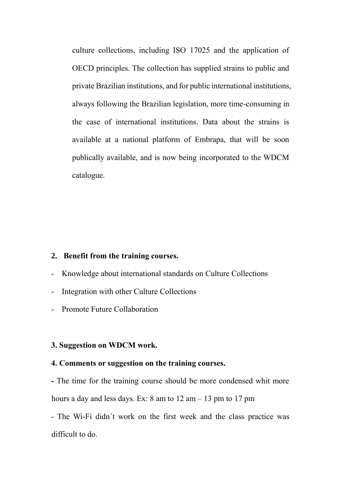culture collections, including ISO 17025 and the application of OECD principles. The collection has supplied strains to public and private Brazilian institutions, and for public international institutions, always following the Brazilian legislation, more time-consuming in the case of international institutions. Data about the strains is available at a national platform of Embrapa, that will be soon publically available, and is now being incorporated to the WDCM catalogue.

### **2. Benefit from the training courses.**

- Knowledge about international standards on Culture Collections
- Integration with other Culture Collections
- Promote Future Collaboration

#### **3. Suggestion on WDCM work.**

#### **4. Comments or suggestion on the training courses.**

**-** The time for the training course should be more condensed whit more hours a day and less days. Ex: 8 am to  $12 \text{ am} - 13 \text{ pm}$  to  $17 \text{ pm}$ 

- The Wi-Fi didn´t work on the first week and the class practice was difficult to do.